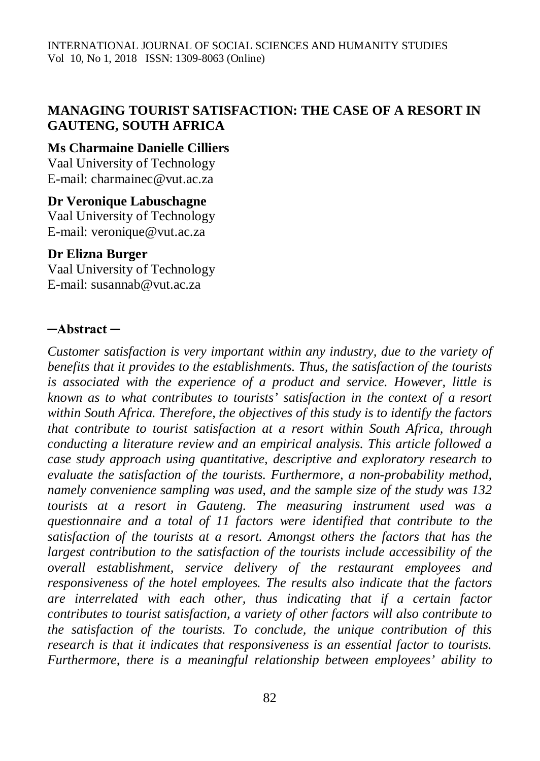# **MANAGING TOURIST SATISFACTION: THE CASE OF A RESORT IN GAUTENG, SOUTH AFRICA**

### **Ms Charmaine Danielle Cilliers**

Vaal University of Technology E-mail: [charmainec@vut.ac.za](mailto:charmainec@vut.ac.za)

#### **Dr Veronique Labuschagne**

Vaal University of Technology E-mail: [veronique@vut.ac.za](mailto:veronique@vut.ac.za)

#### **Dr Elizna Burger**

Vaal University of Technology E-mail: [susannab@vut.ac.za](mailto:susannab@vut.ac.za)

#### **─Abstract ─**

*Customer satisfaction is very important within any industry, due to the variety of benefits that it provides to the establishments. Thus, the satisfaction of the tourists is associated with the experience of a product and service. However, little is known as to what contributes to tourists' satisfaction in the context of a resort within South Africa. Therefore, the objectives of this study is to identify the factors that contribute to tourist satisfaction at a resort within South Africa, through conducting a literature review and an empirical analysis. This article followed a case study approach using quantitative, descriptive and exploratory research to evaluate the satisfaction of the tourists. Furthermore, a non-probability method, namely convenience sampling was used, and the sample size of the study was 132 tourists at a resort in Gauteng. The measuring instrument used was a questionnaire and a total of 11 factors were identified that contribute to the satisfaction of the tourists at a resort. Amongst others the factors that has the largest contribution to the satisfaction of the tourists include accessibility of the overall establishment, service delivery of the restaurant employees and responsiveness of the hotel employees. The results also indicate that the factors are interrelated with each other, thus indicating that if a certain factor contributes to tourist satisfaction, a variety of other factors will also contribute to the satisfaction of the tourists. To conclude, the unique contribution of this research is that it indicates that responsiveness is an essential factor to tourists. Furthermore, there is a meaningful relationship between employees' ability to*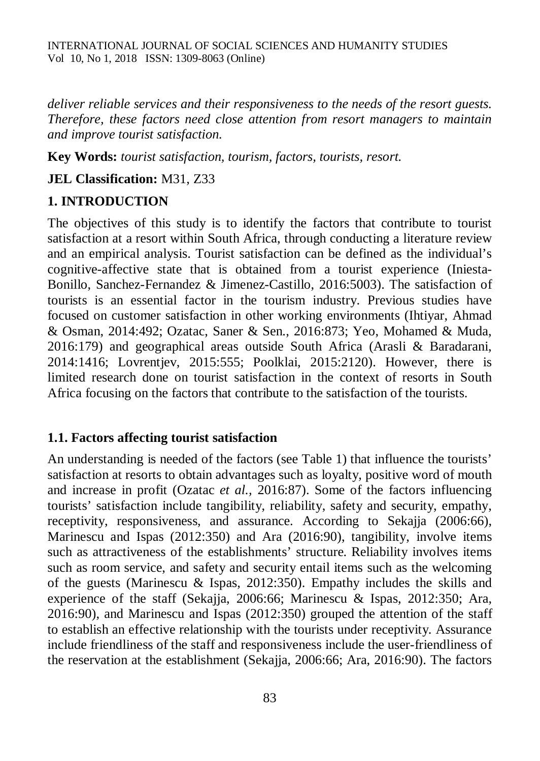*deliver reliable services and their responsiveness to the needs of the resort guests. Therefore, these factors need close attention from resort managers to maintain and improve tourist satisfaction.*

**Key Words:** *tourist satisfaction, tourism, factors, tourists, resort.*

**JEL Classification:** M31, Z33

## **1. INTRODUCTION**

The objectives of this study is to identify the factors that contribute to tourist satisfaction at a resort within South Africa, through conducting a literature review and an empirical analysis. Tourist satisfaction can be defined as the individual's cognitive-affective state that is obtained from a tourist experience (Iniesta-Bonillo, Sanchez-Fernandez & Jimenez-Castillo, 2016:5003). The satisfaction of tourists is an essential factor in the tourism industry. Previous studies have focused on customer satisfaction in other working environments (Ihtiyar, Ahmad & Osman, 2014:492; Ozatac, Saner & Sen., 2016:873; Yeo, Mohamed & Muda, 2016:179) and geographical areas outside South Africa (Arasli & Baradarani, 2014:1416; Lovrentjev, 2015:555; Poolklai, 2015:2120). However, there is limited research done on tourist satisfaction in the context of resorts in South Africa focusing on the factors that contribute to the satisfaction of the tourists.

#### **1.1. Factors affecting tourist satisfaction**

An understanding is needed of the factors (see Table 1) that influence the tourists' satisfaction at resorts to obtain advantages such as loyalty, positive word of mouth and increase in profit (Ozatac *et al.,* 2016:87). Some of the factors influencing tourists' satisfaction include tangibility, reliability, safety and security, empathy, receptivity, responsiveness, and assurance. According to Sekajja (2006:66), Marinescu and Ispas (2012:350) and Ara (2016:90), tangibility, involve items such as attractiveness of the establishments' structure. Reliability involves items such as room service, and safety and security entail items such as the welcoming of the guests (Marinescu & Ispas, 2012:350). Empathy includes the skills and experience of the staff (Sekajja, 2006:66; Marinescu & Ispas, 2012:350; Ara, 2016:90), and Marinescu and Ispas (2012:350) grouped the attention of the staff to establish an effective relationship with the tourists under receptivity. Assurance include friendliness of the staff and responsiveness include the user-friendliness of the reservation at the establishment (Sekajja, 2006:66; Ara, 2016:90). The factors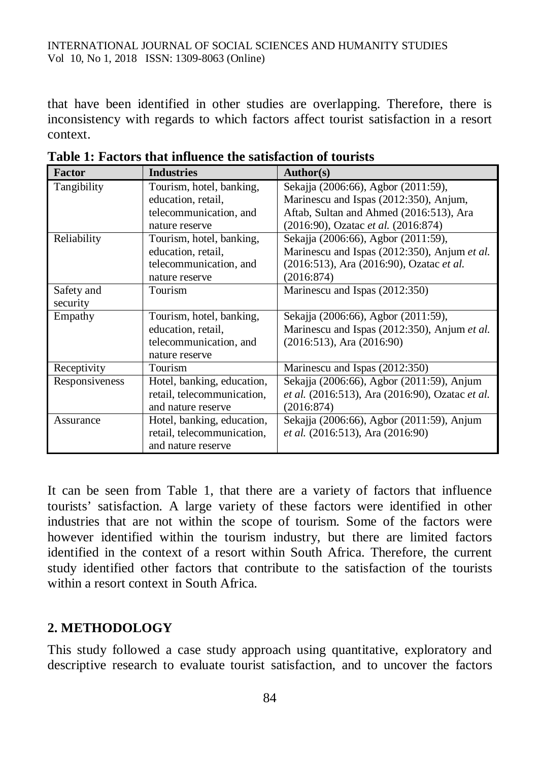that have been identified in other studies are overlapping. Therefore, there is inconsistency with regards to which factors affect tourist satisfaction in a resort context.

| <b>Factor</b>  | <b>Industries</b>          | Author(s)                                       |
|----------------|----------------------------|-------------------------------------------------|
| Tangibility    | Tourism, hotel, banking,   | Sekajja (2006:66), Agbor (2011:59),             |
|                | education, retail,         | Marinescu and Ispas (2012:350), Anjum,          |
|                | telecommunication, and     | Aftab, Sultan and Ahmed (2016:513), Ara         |
|                | nature reserve             | (2016:90), Ozatac et al. (2016:874)             |
| Reliability    | Tourism, hotel, banking,   | Sekajja (2006:66), Agbor (2011:59),             |
|                | education, retail,         | Marinescu and Ispas (2012:350), Anjum et al.    |
|                | telecommunication, and     | (2016:513), Ara (2016:90), Ozatac et al.        |
|                | nature reserve             | (2016:874)                                      |
| Safety and     | Tourism                    | Marinescu and Ispas (2012:350)                  |
| security       |                            |                                                 |
| Empathy        | Tourism, hotel, banking,   | Sekajja (2006:66), Agbor (2011:59),             |
|                | education, retail,         | Marinescu and Ispas (2012:350), Anjum et al.    |
|                | telecommunication, and     | $(2016:513)$ , Ara $(2016:90)$                  |
|                | nature reserve             |                                                 |
| Receptivity    | Tourism                    | Marinescu and Ispas (2012:350)                  |
| Responsiveness | Hotel, banking, education, | Sekajja (2006:66), Agbor (2011:59), Anjum       |
|                | retail, telecommunication, | et al. (2016:513), Ara (2016:90), Ozatac et al. |
|                | and nature reserve         | (2016:874)                                      |
| Assurance      | Hotel, banking, education, | Sekajja (2006:66), Agbor (2011:59), Anjum       |
|                | retail, telecommunication, | et al. (2016:513), Ara (2016:90)                |
|                | and nature reserve         |                                                 |

**Table 1: Factors that influence the satisfaction of tourists**

It can be seen from Table 1, that there are a variety of factors that influence tourists' satisfaction. A large variety of these factors were identified in other industries that are not within the scope of tourism. Some of the factors were however identified within the tourism industry, but there are limited factors identified in the context of a resort within South Africa. Therefore, the current study identified other factors that contribute to the satisfaction of the tourists within a resort context in South Africa.

## **2. METHODOLOGY**

This study followed a case study approach using quantitative, exploratory and descriptive research to evaluate tourist satisfaction, and to uncover the factors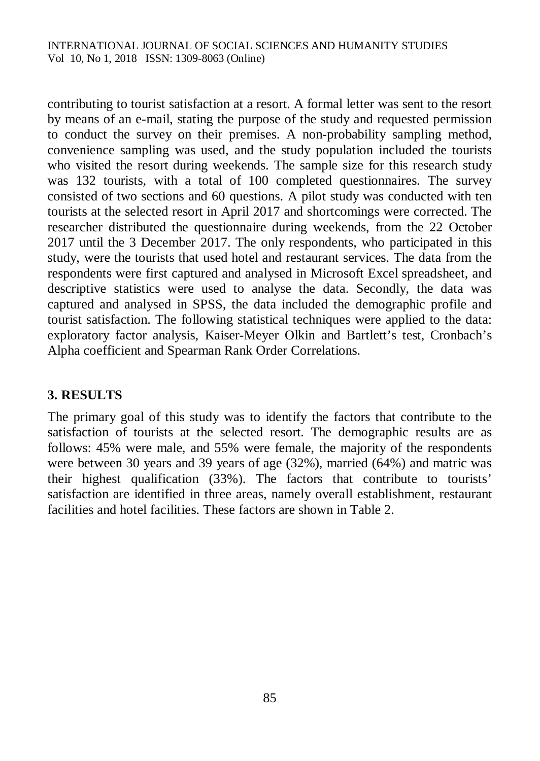contributing to tourist satisfaction at a resort. A formal letter was sent to the resort by means of an e-mail, stating the purpose of the study and requested permission to conduct the survey on their premises. A non-probability sampling method, convenience sampling was used, and the study population included the tourists who visited the resort during weekends. The sample size for this research study was 132 tourists, with a total of 100 completed questionnaires. The survey consisted of two sections and 60 questions. A pilot study was conducted with ten tourists at the selected resort in April 2017 and shortcomings were corrected. The researcher distributed the questionnaire during weekends, from the 22 October 2017 until the 3 December 2017. The only respondents, who participated in this study, were the tourists that used hotel and restaurant services. The data from the respondents were first captured and analysed in Microsoft Excel spreadsheet, and descriptive statistics were used to analyse the data. Secondly, the data was captured and analysed in SPSS, the data included the demographic profile and tourist satisfaction. The following statistical techniques were applied to the data: exploratory factor analysis, Kaiser-Meyer Olkin and Bartlett's test, Cronbach's Alpha coefficient and Spearman Rank Order Correlations.

# **3. RESULTS**

The primary goal of this study was to identify the factors that contribute to the satisfaction of tourists at the selected resort. The demographic results are as follows: 45% were male, and 55% were female, the majority of the respondents were between 30 years and 39 years of age (32%), married (64%) and matric was their highest qualification (33%). The factors that contribute to tourists' satisfaction are identified in three areas, namely overall establishment, restaurant facilities and hotel facilities. These factors are shown in Table 2.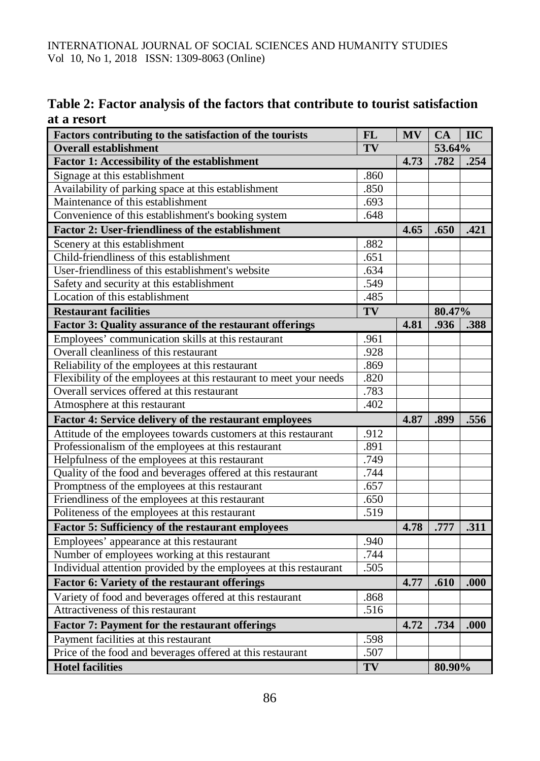| Table 2: Factor analysis of the factors that contribute to tourist satisfaction |  |  |  |
|---------------------------------------------------------------------------------|--|--|--|
| at a resort                                                                     |  |  |  |

| Factors contributing to the satisfaction of the tourists           | <b>FL</b> | <b>MV</b> | CA     | <b>IIC</b> |
|--------------------------------------------------------------------|-----------|-----------|--------|------------|
| <b>Overall establishment</b>                                       |           | 53.64%    |        |            |
| Factor 1: Accessibility of the establishment                       | 4.73      | .782      | .254   |            |
| Signage at this establishment                                      | .860      |           |        |            |
| Availability of parking space at this establishment                | .850      |           |        |            |
| Maintenance of this establishment                                  | .693      |           |        |            |
| Convenience of this establishment's booking system                 | .648      |           |        |            |
| <b>Factor 2: User-friendliness of the establishment</b>            |           | 4.65      | .650   | .421       |
| Scenery at this establishment                                      | .882      |           |        |            |
| Child-friendliness of this establishment                           | .651      |           |        |            |
| User-friendliness of this establishment's website                  | .634      |           |        |            |
| Safety and security at this establishment                          | .549      |           |        |            |
| Location of this establishment                                     | .485      |           |        |            |
| <b>Restaurant facilities</b>                                       | TV        |           | 80.47% |            |
| Factor 3: Quality assurance of the restaurant offerings            | 4.81      | .936      | .388   |            |
| Employees' communication skills at this restaurant                 | .961      |           |        |            |
| Overall cleanliness of this restaurant                             | .928      |           |        |            |
| Reliability of the employees at this restaurant                    | .869      |           |        |            |
| Flexibility of the employees at this restaurant to meet your needs | .820      |           |        |            |
| Overall services offered at this restaurant                        | .783      |           |        |            |
| Atmosphere at this restaurant                                      | .402      |           |        |            |
| Factor 4: Service delivery of the restaurant employees             |           | 4.87      | .899   | .556       |
| Attitude of the employees towards customers at this restaurant     | .912      |           |        |            |
| Professionalism of the employees at this restaurant                | .891      |           |        |            |
| Helpfulness of the employees at this restaurant                    | .749      |           |        |            |
| Quality of the food and beverages offered at this restaurant       | .744      |           |        |            |
| Promptness of the employees at this restaurant                     | .657      |           |        |            |
| Friendliness of the employees at this restaurant                   | .650      |           |        |            |
| Politeness of the employees at this restaurant                     | .519      |           |        |            |
| Factor 5: Sufficiency of the restaurant employees                  |           | 4.78      | .777   | .311       |
| Employees' appearance at this restaurant                           | .940      |           |        |            |
| Number of employees working at this restaurant                     | .744      |           |        |            |
| Individual attention provided by the employees at this restaurant  | .505      |           |        |            |
| Factor 6: Variety of the restaurant offerings                      |           | 4.77      | .610   | .000       |
| Variety of food and beverages offered at this restaurant           | .868      |           |        |            |
| Attractiveness of this restaurant                                  | .516      |           |        |            |
| Factor 7: Payment for the restaurant offerings                     |           | 4.72      | .734   | .000       |
| Payment facilities at this restaurant                              | .598      |           |        |            |
| Price of the food and beverages offered at this restaurant         | .507      |           |        |            |
| <b>Hotel facilities</b>                                            | TV        |           | 80.90% |            |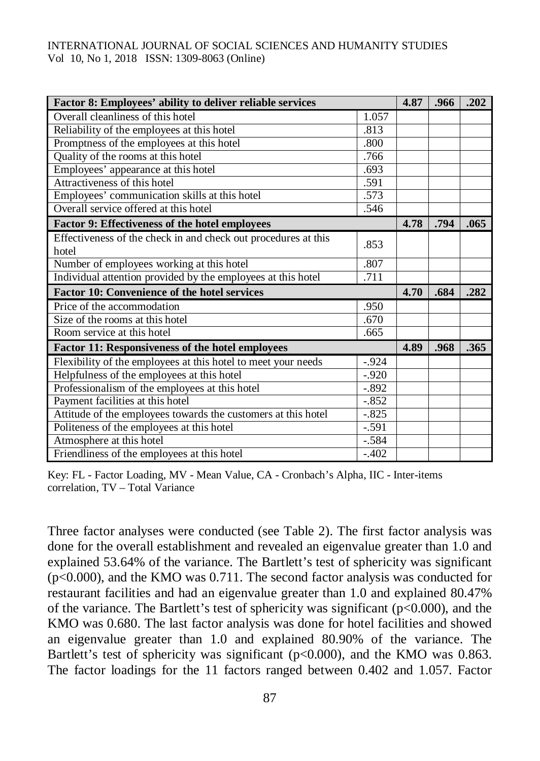| Factor 8: Employees' ability to deliver reliable services               | 4.87    | .966 | .202 |      |
|-------------------------------------------------------------------------|---------|------|------|------|
| Overall cleanliness of this hotel                                       | 1.057   |      |      |      |
| Reliability of the employees at this hotel                              | .813    |      |      |      |
| Promptness of the employees at this hotel                               | .800    |      |      |      |
| Quality of the rooms at this hotel                                      | .766    |      |      |      |
| Employees' appearance at this hotel                                     | .693    |      |      |      |
| Attractiveness of this hotel                                            | .591    |      |      |      |
| Employees' communication skills at this hotel                           | .573    |      |      |      |
| Overall service offered at this hotel                                   |         |      |      |      |
| Factor 9: Effectiveness of the hotel employees                          | 4.78    | .794 | .065 |      |
| Effectiveness of the check in and check out procedures at this<br>hotel | .853    |      |      |      |
| Number of employees working at this hotel                               | .807    |      |      |      |
| Individual attention provided by the employees at this hotel            | .711    |      |      |      |
| <b>Factor 10: Convenience of the hotel services</b>                     | 4.70    | .684 | .282 |      |
| Price of the accommodation                                              | .950    |      |      |      |
| Size of the rooms at this hotel                                         | .670    |      |      |      |
| Room service at this hotel                                              | .665    |      |      |      |
| Factor 11: Responsiveness of the hotel employees                        |         | 4.89 | .968 | .365 |
| Flexibility of the employees at this hotel to meet your needs           | $-.924$ |      |      |      |
| Helpfulness of the employees at this hotel                              | $-.920$ |      |      |      |
| Professionalism of the employees at this hotel                          | $-.892$ |      |      |      |
| Payment facilities at this hotel                                        | $-.852$ |      |      |      |
| Attitude of the employees towards the customers at this hotel           |         |      |      |      |
| Politeness of the employees at this hotel                               | $-.591$ |      |      |      |
| Atmosphere at this hotel                                                | $-.584$ |      |      |      |
| Friendliness of the employees at this hotel                             | $-.402$ |      |      |      |

Key: FL - Factor Loading, MV - Mean Value, CA - Cronbach's Alpha, IIC - Inter-items correlation, TV – Total Variance

Three factor analyses were conducted (see Table 2). The first factor analysis was done for the overall establishment and revealed an eigenvalue greater than 1.0 and explained 53.64% of the variance. The Bartlett's test of sphericity was significant (p<0.000), and the KMO was 0.711. The second factor analysis was conducted for restaurant facilities and had an eigenvalue greater than 1.0 and explained 80.47% of the variance. The Bartlett's test of sphericity was significant ( $p<0.000$ ), and the KMO was 0.680. The last factor analysis was done for hotel facilities and showed an eigenvalue greater than 1.0 and explained 80.90% of the variance. The Bartlett's test of sphericity was significant ( $p<0.000$ ), and the KMO was 0.863. The factor loadings for the 11 factors ranged between 0.402 and 1.057. Factor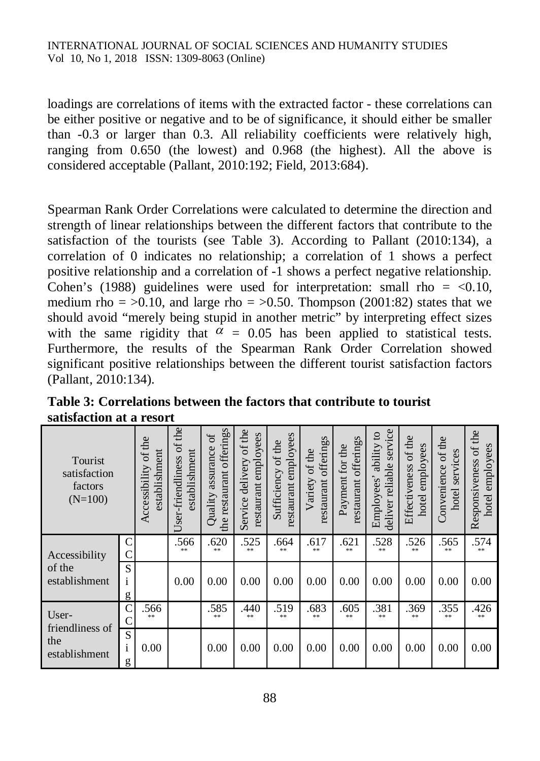loadings are correlations of items with the extracted factor - these correlations can be either positive or negative and to be of significance, it should either be smaller than -0.3 or larger than 0.3. All reliability coefficients were relatively high, ranging from 0.650 (the lowest) and 0.968 (the highest). All the above is considered acceptable (Pallant, 2010:192; Field, 2013:684).

Spearman Rank Order Correlations were calculated to determine the direction and strength of linear relationships between the different factors that contribute to the satisfaction of the tourists (see Table 3). According to Pallant (2010:134), a correlation of 0 indicates no relationship; a correlation of 1 shows a perfect positive relationship and a correlation of -1 shows a perfect negative relationship. Cohen's (1988) guidelines were used for interpretation: small rho =  $< 0.10$ , medium rho =  $>0.10$ , and large rho =  $>0.50$ . Thompson (2001:82) states that we should avoid "merely being stupid in another metric" by interpreting effect sizes with the same rigidity that  $\alpha = 0.05$  has been applied to statistical tests. Furthermore, the results of the Spearman Rank Order Correlation showed significant positive relationships between the different tourist satisfaction factors (Pallant, 2010:134).

| Tourist<br>satisfaction<br>factors<br>$(N=100)$  |                   | of the<br>establishment<br>Accessibility | Jser-friendliness of the<br>establishment | offerings<br>ð<br>assurance<br>restaurant<br>Quality<br>the | of the<br>restaurant employees<br>Service delivery | employees<br>of the<br>Sufficiency<br>restaurant | offerings<br>of the<br>Variety<br>restaurant | restaurant offerings<br>Payment for the | service<br>ability to<br>deliver reliable<br>Employees' | Effectiveness of the<br>employees<br>hotel | of the<br>services<br>Convenience<br>hotel | of the<br>employees<br>Responsiveness<br>hotel |
|--------------------------------------------------|-------------------|------------------------------------------|-------------------------------------------|-------------------------------------------------------------|----------------------------------------------------|--------------------------------------------------|----------------------------------------------|-----------------------------------------|---------------------------------------------------------|--------------------------------------------|--------------------------------------------|------------------------------------------------|
| Accessibility<br>of the<br>establishment         | C<br>$\mathsf{C}$ |                                          | .566<br>**                                | .620<br>**                                                  | .525<br>**                                         | .664<br>**                                       | .617<br>**                                   | .621<br>**                              | .528<br>**                                              | .526<br>**                                 | .565<br>**                                 | .574<br>**                                     |
|                                                  | S<br>1<br>g       |                                          | 0.00                                      | 0.00                                                        | 0.00                                               | 0.00                                             | 0.00                                         | 0.00                                    | 0.00                                                    | 0.00                                       | 0.00                                       | 0.00                                           |
| User-<br>friendliness of<br>the<br>establishment | $\mathsf{C}$      | .566<br>$**$                             |                                           | .585<br>$**$                                                | .440<br>念水                                         | .519<br>**                                       | .683<br>米米                                   | .605<br>$**$                            | .381<br>$**$                                            | .369<br>念末                                 | .355<br>**                                 | .426<br>米米                                     |
|                                                  | S<br>1<br>g       | 0.00                                     |                                           | 0.00                                                        | 0.00                                               | 0.00                                             | 0.00                                         | 0.00                                    | 0.00                                                    | 0.00                                       | 0.00                                       | 0.00                                           |

**Table 3: Correlations between the factors that contribute to tourist satisfaction at a resort**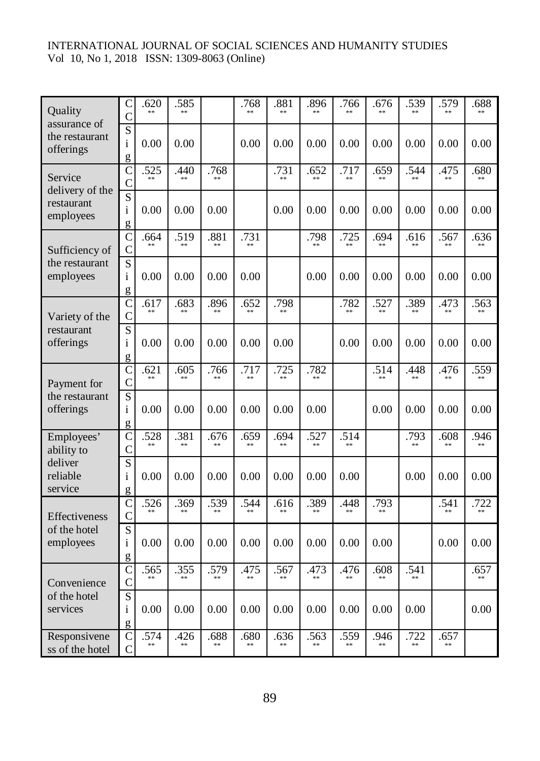| Quality                   | $\mathsf{C}$                   | 620        | .585 |      | .768       | .881<br>**   | .896<br>sk sk | .766<br>**   | .676<br>** | .539<br>** | .579<br>** | .688       |
|---------------------------|--------------------------------|------------|------|------|------------|--------------|---------------|--------------|------------|------------|------------|------------|
| assurance of              | $\overline{C}$                 |            |      |      |            |              |               |              |            |            |            |            |
| the restaurant            | $\overline{S}$<br>$\mathbf{i}$ | 0.00       | 0.00 |      | 0.00       | 0.00         | 0.00          | 0.00         | 0.00       | 0.00       | 0.00       | 0.00       |
| offerings                 | g                              |            |      |      |            |              |               |              |            |            |            |            |
| Service                   | $\overline{C}$                 | .525       | .440 | .768 |            | .731<br>$**$ | .652          | .717         | .659       | .544       | .475<br>** | .680       |
| delivery of the           | $\mathcal{C}$                  |            |      |      |            |              |               |              |            |            |            |            |
| restaurant                | $\overline{S}$                 |            |      |      |            |              |               |              |            |            |            |            |
| employees                 | $\mathbf{i}$<br>g              | 0.00       | 0.00 | 0.00 |            | 0.00         | 0.00          | 0.00         | 0.00       | 0.00       | 0.00       | 0.00       |
|                           | $\mathsf{C}$                   | .664       | .519 | .881 | .731       |              | .798          | .725         | .694       | .616       | .567       | .636       |
| Sufficiency of            | $\mathsf{C}$                   |            | **   | 索索   | $**$       |              | **            | $**$         | $**$       | **         | $**$       | $**$       |
| the restaurant            | $\overline{\mathbf{S}}$        |            |      |      |            |              |               |              |            |            |            |            |
| employees                 | $\mathbf{i}$                   | 0.00       | 0.00 | 0.00 | 0.00       |              | 0.00          | 0.00         | 0.00       | 0.00       | 0.00       | 0.00       |
|                           | g<br>$\overline{C}$            | .617       | .683 | .896 | .652       | .798         |               | .782         | .527       | .389       | .473       | .563       |
| Variety of the            | $\overline{C}$                 |            |      |      | **         | $**$         |               | **           | **         | **         | **         |            |
| restaurant                | $\overline{S}$                 |            |      |      |            |              |               |              |            |            |            |            |
| offerings                 | $\mathbf{i}$                   | 0.00       | 0.00 | 0.00 | 0.00       | 0.00         |               | 0.00         | 0.00       | 0.00       | 0.00       | 0.00       |
|                           | g                              |            |      |      |            |              |               |              |            |            |            |            |
| Payment for               | $\mathsf{C}$<br>$\mathbf C$    | .621       | .605 | .766 | .717<br>** | .725<br>$**$ | .782<br>**    |              | .514<br>** | .448       | .476<br>** | .559<br>** |
| the restaurant            | $\overline{\mathbf{S}}$        |            |      |      |            |              |               |              |            |            |            |            |
| offerings                 | $\mathbf{i}$                   | 0.00       | 0.00 | 0.00 | 0.00       | 0.00         | 0.00          |              | 0.00       | 0.00       | 0.00       | 0.00       |
|                           | g                              |            |      |      |            |              |               |              |            |            |            |            |
| Employees'                | $\mathsf{C}$<br>$\overline{C}$ | .528<br>** | .381 | .676 | .659<br>** | .694<br>**   | .527<br>**    | .514<br>$**$ |            | .793<br>** | .608       | .946       |
| ability to<br>deliver     | $\overline{S}$                 |            |      |      |            |              |               |              |            |            |            |            |
| reliable                  | $\mathbf{i}$                   | 0.00       | 0.00 | 0.00 | 0.00       | 0.00         | 0.00          | 0.00         |            | 0.00       | 0.00       | 0.00       |
| service                   | g                              |            |      |      |            |              |               |              |            |            |            |            |
|                           | $\mathsf{C}$                   | .526<br>** | 369  | .539 | .544<br>** | .616         | .389          | .448<br>**   | .793<br>** |            | .541       | .722       |
| Effectiveness             | $\mathcal{C}$                  |            |      |      |            |              |               |              |            |            |            |            |
| of the hotel<br>employees | $\overline{S}$<br>$\mathbf{i}$ | 0.00       | 0.00 | 0.00 | 0.00       | 0.00         | 0.00          | 0.00         | 0.00       |            | 0.00       | 0.00       |
|                           | g                              |            |      |      |            |              |               |              |            |            |            |            |
|                           | $\overline{C}$                 | .565       | .355 | .579 | .475       | .567         | .473          | .476         | .608       | .541       |            | .657       |
| Convenience               | $\overline{C}$                 |            | **   | **   | **         |              | **            | **           |            | **         |            |            |
| of the hotel              | $\overline{\mathbf{S}}$        |            |      |      |            |              |               |              |            |            |            |            |
| services                  | $\mathbf{i}$<br>g              | 0.00       | 0.00 | 0.00 | 0.00       | 0.00         | 0.00          | 0.00         | 0.00       | 0.00       |            | 0.00       |
| Responsivene              | $\mathcal{C}$                  | .574       | .426 | .688 | .680       | .636         | .563          | .559         | .946       | .722       | .657       |            |
| ss of the hotel           | $\mathcal{C}$                  |            |      |      |            |              |               |              |            | **         |            |            |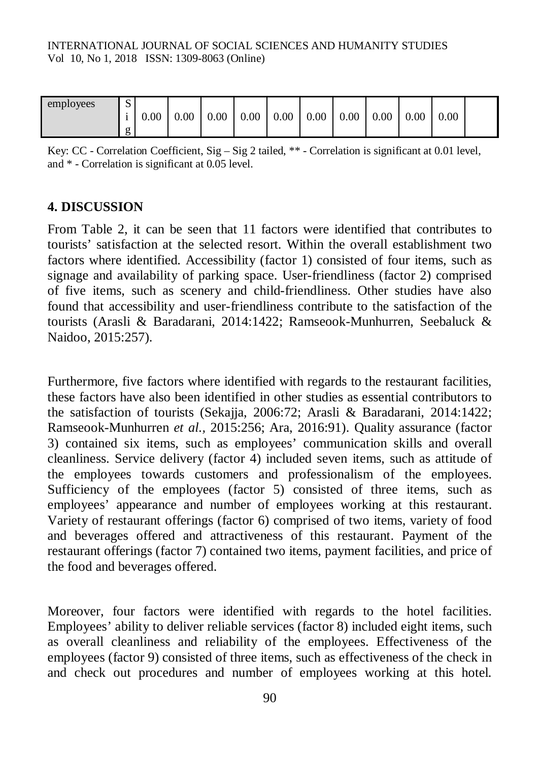| employees | $\sim$<br>ມ   | 0.00 | 0.00 | 0.00 | 0.00 | 0.00 | 0.00 | 0.00 | 0.00 | 0.00 | 0.00 |  |
|-----------|---------------|------|------|------|------|------|------|------|------|------|------|--|
|           | $\sigma$<br>O |      |      |      |      |      |      |      |      |      |      |  |

Key: CC - Correlation Coefficient, Sig – Sig 2 tailed, \*\* - Correlation is significant at 0.01 level, and \* - Correlation is significant at 0.05 level.

#### **4. DISCUSSION**

From Table 2, it can be seen that 11 factors were identified that contributes to tourists' satisfaction at the selected resort. Within the overall establishment two factors where identified. Accessibility (factor 1) consisted of four items, such as signage and availability of parking space. User-friendliness (factor 2) comprised of five items, such as scenery and child-friendliness. Other studies have also found that accessibility and user-friendliness contribute to the satisfaction of the tourists (Arasli & Baradarani, 2014:1422; Ramseook-Munhurren, Seebaluck & Naidoo, 2015:257).

Furthermore, five factors where identified with regards to the restaurant facilities, these factors have also been identified in other studies as essential contributors to the satisfaction of tourists (Sekajja, 2006:72; Arasli & Baradarani, 2014:1422; Ramseook-Munhurren *et al.,* 2015:256; Ara, 2016:91). Quality assurance (factor 3) contained six items, such as employees' communication skills and overall cleanliness. Service delivery (factor 4) included seven items, such as attitude of the employees towards customers and professionalism of the employees. Sufficiency of the employees (factor 5) consisted of three items, such as employees' appearance and number of employees working at this restaurant. Variety of restaurant offerings (factor 6) comprised of two items, variety of food and beverages offered and attractiveness of this restaurant. Payment of the restaurant offerings (factor 7) contained two items, payment facilities, and price of the food and beverages offered.

Moreover, four factors were identified with regards to the hotel facilities. Employees' ability to deliver reliable services (factor 8) included eight items, such as overall cleanliness and reliability of the employees. Effectiveness of the employees (factor 9) consisted of three items, such as effectiveness of the check in and check out procedures and number of employees working at this hotel.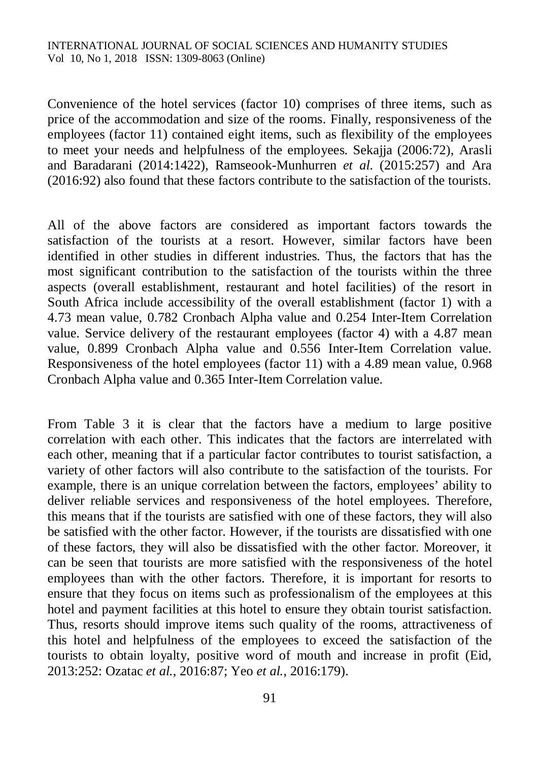Convenience of the hotel services (factor 10) comprises of three items, such as price of the accommodation and size of the rooms. Finally, responsiveness of the employees (factor 11) contained eight items, such as flexibility of the employees to meet your needs and helpfulness of the employees. Sekajja (2006:72), Arasli and Baradarani (2014:1422), Ramseook-Munhurren *et al.* (2015:257) and Ara (2016:92) also found that these factors contribute to the satisfaction of the tourists.

All of the above factors are considered as important factors towards the satisfaction of the tourists at a resort. However, similar factors have been identified in other studies in different industries. Thus, the factors that has the most significant contribution to the satisfaction of the tourists within the three aspects (overall establishment, restaurant and hotel facilities) of the resort in South Africa include accessibility of the overall establishment (factor 1) with a 4.73 mean value, 0.782 Cronbach Alpha value and 0.254 Inter-Item Correlation value. Service delivery of the restaurant employees (factor 4) with a 4.87 mean value, 0.899 Cronbach Alpha value and 0.556 Inter-Item Correlation value. Responsiveness of the hotel employees (factor 11) with a 4.89 mean value, 0.968 Cronbach Alpha value and 0.365 Inter-Item Correlation value.

From Table 3 it is clear that the factors have a medium to large positive correlation with each other. This indicates that the factors are interrelated with each other, meaning that if a particular factor contributes to tourist satisfaction, a variety of other factors will also contribute to the satisfaction of the tourists. For example, there is an unique correlation between the factors, employees' ability to deliver reliable services and responsiveness of the hotel employees. Therefore, this means that if the tourists are satisfied with one of these factors, they will also be satisfied with the other factor. However, if the tourists are dissatisfied with one of these factors, they will also be dissatisfied with the other factor. Moreover, it can be seen that tourists are more satisfied with the responsiveness of the hotel employees than with the other factors. Therefore, it is important for resorts to ensure that they focus on items such as professionalism of the employees at this hotel and payment facilities at this hotel to ensure they obtain tourist satisfaction. Thus, resorts should improve items such quality of the rooms, attractiveness of this hotel and helpfulness of the employees to exceed the satisfaction of the tourists to obtain loyalty, positive word of mouth and increase in profit (Eid, 2013:252: Ozatac *et al.*, 2016:87; Yeo *et al.*, 2016:179).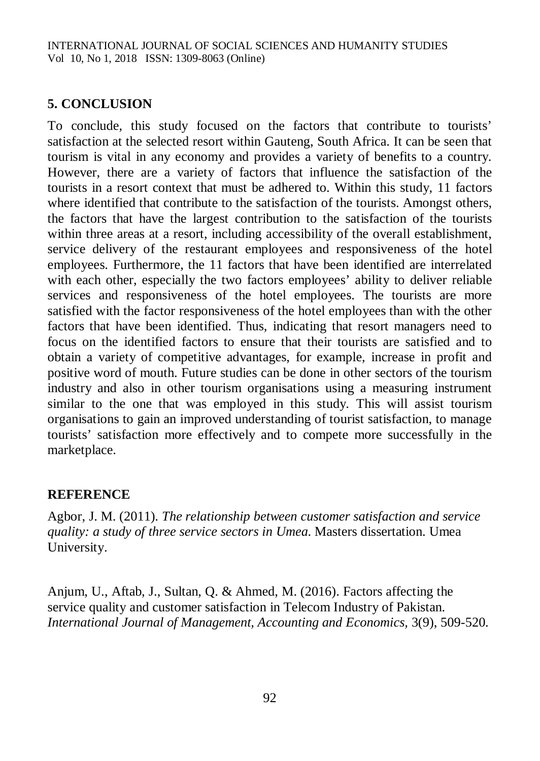# **5. CONCLUSION**

To conclude, this study focused on the factors that contribute to tourists' satisfaction at the selected resort within Gauteng, South Africa. It can be seen that tourism is vital in any economy and provides a variety of benefits to a country. However, there are a variety of factors that influence the satisfaction of the tourists in a resort context that must be adhered to. Within this study, 11 factors where identified that contribute to the satisfaction of the tourists. Amongst others, the factors that have the largest contribution to the satisfaction of the tourists within three areas at a resort, including accessibility of the overall establishment, service delivery of the restaurant employees and responsiveness of the hotel employees. Furthermore, the 11 factors that have been identified are interrelated with each other, especially the two factors employees' ability to deliver reliable services and responsiveness of the hotel employees. The tourists are more satisfied with the factor responsiveness of the hotel employees than with the other factors that have been identified. Thus, indicating that resort managers need to focus on the identified factors to ensure that their tourists are satisfied and to obtain a variety of competitive advantages, for example, increase in profit and positive word of mouth. Future studies can be done in other sectors of the tourism industry and also in other tourism organisations using a measuring instrument similar to the one that was employed in this study. This will assist tourism organisations to gain an improved understanding of tourist satisfaction, to manage tourists' satisfaction more effectively and to compete more successfully in the marketplace.

## **REFERENCE**

Agbor, J. M. (2011). *The relationship between customer satisfaction and service quality: a study of three service sectors in Umea*. Masters dissertation. Umea University.

Anjum, U., Aftab, J., Sultan, Q. & Ahmed, M. (2016). Factors affecting the service quality and customer satisfaction in Telecom Industry of Pakistan. *International Journal of Management, Accounting and Economics,* 3(9), 509-520.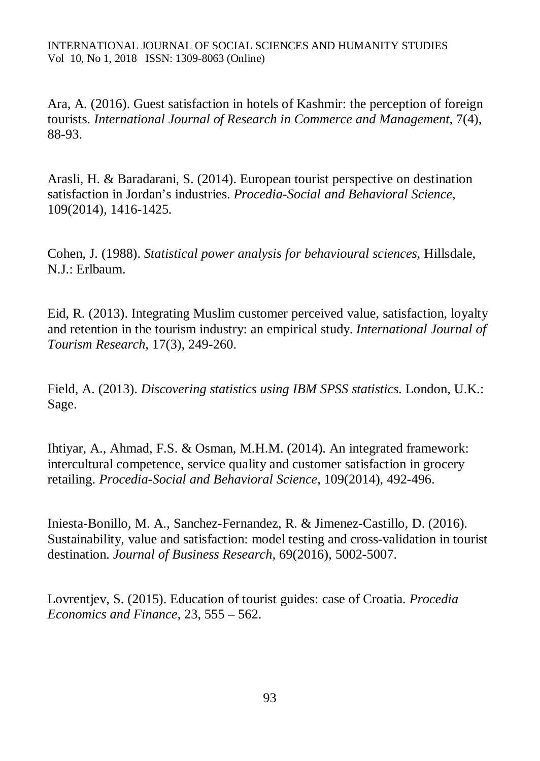Ara, A. (2016). Guest satisfaction in hotels of Kashmir: the perception of foreign tourists. *International Journal of Research in Commerce and Management,* 7(4), 88-93.

Arasli, H. & Baradarani, S. (2014). European tourist perspective on destination satisfaction in Jordan's industries. *Procedia-Social and Behavioral Science,*  109(2014), 1416-1425.

Cohen, J. (1988). *Statistical power analysis for behavioural sciences*, Hillsdale, N.J.: Erlbaum.

Eid, R. (2013). Integrating Muslim customer perceived value, satisfaction, loyalty and retention in the tourism industry: an empirical study. *International Journal of Tourism Research*, 17(3), 249-260.

Field, A. (2013). *Discovering statistics using IBM SPSS statistics*. London, U.K.: Sage.

Ihtiyar, A., Ahmad, F.S. & Osman, M.H.M. (2014). An integrated framework: intercultural competence, service quality and customer satisfaction in grocery retailing. *Procedia-Social and Behavioral Science,* 109(2014), 492-496.

Iniesta-Bonillo, M. A., Sanchez-Fernandez, R. & Jimenez-Castillo, D. (2016). Sustainability, value and satisfaction: model testing and cross-validation in tourist destination. *Journal of Business Research,* 69(2016), 5002-5007.

Lovrentjev, S. (2015). Education of tourist guides: case of Croatia. *Procedia Economics and Finance,* 23, 555 – 562.